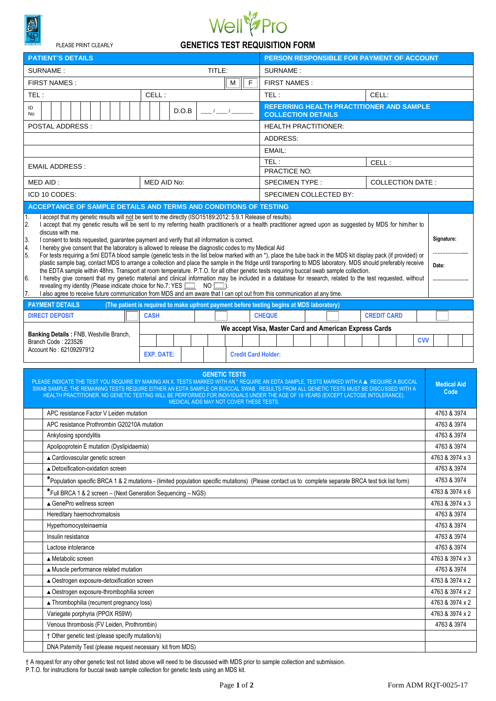

PLEASE PRINT CLEARLY

## Well<sup>2</sup>Pro

| <b>GENETICS TEST REQUISITION FORM</b> |  |  |
|---------------------------------------|--|--|
|                                       |  |  |

| <b>PATIENT'S DETAILS</b>                                                                                                                                                                                                                                                                                                                                                                                                                                                                                                                                                                                                                                                                                                                                                                                                                                                                                                                                                                                                                                                                                                                                                                                                                                                                                                                                                                                                             | PERSON RESPONSIBLE FOR PAYMENT OF ACCOUNT       |  |  |
|--------------------------------------------------------------------------------------------------------------------------------------------------------------------------------------------------------------------------------------------------------------------------------------------------------------------------------------------------------------------------------------------------------------------------------------------------------------------------------------------------------------------------------------------------------------------------------------------------------------------------------------------------------------------------------------------------------------------------------------------------------------------------------------------------------------------------------------------------------------------------------------------------------------------------------------------------------------------------------------------------------------------------------------------------------------------------------------------------------------------------------------------------------------------------------------------------------------------------------------------------------------------------------------------------------------------------------------------------------------------------------------------------------------------------------------|-------------------------------------------------|--|--|
| TITLE:<br>SURNAME:<br>SURNAME:                                                                                                                                                                                                                                                                                                                                                                                                                                                                                                                                                                                                                                                                                                                                                                                                                                                                                                                                                                                                                                                                                                                                                                                                                                                                                                                                                                                                       |                                                 |  |  |
| FIRST NAMES:<br><b>FIRST NAMES:</b><br>F<br>м                                                                                                                                                                                                                                                                                                                                                                                                                                                                                                                                                                                                                                                                                                                                                                                                                                                                                                                                                                                                                                                                                                                                                                                                                                                                                                                                                                                        |                                                 |  |  |
| CELL:<br>TEL:<br>TEL:                                                                                                                                                                                                                                                                                                                                                                                                                                                                                                                                                                                                                                                                                                                                                                                                                                                                                                                                                                                                                                                                                                                                                                                                                                                                                                                                                                                                                | CELL:                                           |  |  |
| ID<br>D.O.B<br>No<br><b>COLLECTION DETAILS</b>                                                                                                                                                                                                                                                                                                                                                                                                                                                                                                                                                                                                                                                                                                                                                                                                                                                                                                                                                                                                                                                                                                                                                                                                                                                                                                                                                                                       | <b>REFERRING HEALTH PRACTITIONER AND SAMPLE</b> |  |  |
| <b>POSTAL ADDRESS:</b><br><b>HEALTH PRACTITIONER:</b>                                                                                                                                                                                                                                                                                                                                                                                                                                                                                                                                                                                                                                                                                                                                                                                                                                                                                                                                                                                                                                                                                                                                                                                                                                                                                                                                                                                |                                                 |  |  |
| ADDRESS:                                                                                                                                                                                                                                                                                                                                                                                                                                                                                                                                                                                                                                                                                                                                                                                                                                                                                                                                                                                                                                                                                                                                                                                                                                                                                                                                                                                                                             |                                                 |  |  |
| EMAIL:                                                                                                                                                                                                                                                                                                                                                                                                                                                                                                                                                                                                                                                                                                                                                                                                                                                                                                                                                                                                                                                                                                                                                                                                                                                                                                                                                                                                                               |                                                 |  |  |
| TEL:                                                                                                                                                                                                                                                                                                                                                                                                                                                                                                                                                                                                                                                                                                                                                                                                                                                                                                                                                                                                                                                                                                                                                                                                                                                                                                                                                                                                                                 | CELL:                                           |  |  |
| <b>EMAIL ADDRESS:</b><br>PRACTICE NO:                                                                                                                                                                                                                                                                                                                                                                                                                                                                                                                                                                                                                                                                                                                                                                                                                                                                                                                                                                                                                                                                                                                                                                                                                                                                                                                                                                                                |                                                 |  |  |
| MED AID:<br>MED AID No:<br><b>SPECIMEN TYPE:</b><br><b>COLLECTION DATE:</b>                                                                                                                                                                                                                                                                                                                                                                                                                                                                                                                                                                                                                                                                                                                                                                                                                                                                                                                                                                                                                                                                                                                                                                                                                                                                                                                                                          |                                                 |  |  |
| ICD 10 CODES:<br>SPECIMEN COLLECTED BY:                                                                                                                                                                                                                                                                                                                                                                                                                                                                                                                                                                                                                                                                                                                                                                                                                                                                                                                                                                                                                                                                                                                                                                                                                                                                                                                                                                                              |                                                 |  |  |
| ACCEPTANCE OF SAMPLE DETAILS AND TERMS AND CONDITIONS OF TESTING                                                                                                                                                                                                                                                                                                                                                                                                                                                                                                                                                                                                                                                                                                                                                                                                                                                                                                                                                                                                                                                                                                                                                                                                                                                                                                                                                                     |                                                 |  |  |
| I accept that my genetic results will not be sent to me directly (ISO15189:2012: 5.9.1 Release of results).<br>1.<br>I accept that my genetic results will be sent to my referring health practitioner/s or a health practitioner agreed upon as suggested by MDS for him/her to<br>2.<br>discuss with me.<br>Signature:<br>3.<br>I consent to tests requested, guarantee payment and verify that all information is correct.<br>I hereby give consent that the laboratory is allowed to release the diagnostic codes to my Medical Aid<br>4.<br>For tests requiring a 5ml EDTA blood sample (genetic tests in the list below marked with an *), place the tube back in the MDS kit display pack (if provided) or<br>5.<br>plastic sample bag, contact MDS to arrange a collection and place the sample in the fridge until transporting to MDS laboratory. MDS should preferably receive<br>Date:<br>the EDTA sample within 48hrs. Transport at room temperature. P.T.O. for all other genetic tests requiring buccal swab sample collection.<br>I hereby give consent that my genetic material and clinical information may be included in a database for research, related to the test requested, without<br>6.<br><br>revealing my identity (Please indicate choice for No.7: YES<br>$NO$ $\Box$ )<br>I also agree to receive future communication from MDS and am aware that I can opt out from this communication at any time. |                                                 |  |  |
| 17.<br><b>PAYMENT DETAILS</b><br>(The patient is required to make upfront payment before testing begins at MDS laboratory)                                                                                                                                                                                                                                                                                                                                                                                                                                                                                                                                                                                                                                                                                                                                                                                                                                                                                                                                                                                                                                                                                                                                                                                                                                                                                                           |                                                 |  |  |
| <b>CHEQUE</b><br><b>DIRECT DEPOSIT</b><br><b>CASH</b>                                                                                                                                                                                                                                                                                                                                                                                                                                                                                                                                                                                                                                                                                                                                                                                                                                                                                                                                                                                                                                                                                                                                                                                                                                                                                                                                                                                | <b>CREDIT CARD</b>                              |  |  |
| We accept Visa, Master Card and American Express Cards                                                                                                                                                                                                                                                                                                                                                                                                                                                                                                                                                                                                                                                                                                                                                                                                                                                                                                                                                                                                                                                                                                                                                                                                                                                                                                                                                                               |                                                 |  |  |
| <b>Banking Details: FNB, Westville Branch,</b><br>Branch Code: 223526<br>Account No: 62109297912<br><b>EXP. DATE:</b><br><b>Credit Card Holder:</b>                                                                                                                                                                                                                                                                                                                                                                                                                                                                                                                                                                                                                                                                                                                                                                                                                                                                                                                                                                                                                                                                                                                                                                                                                                                                                  | <b>CVV</b>                                      |  |  |
| <b>GENETIC TESTS</b><br>PLEASE INDICATE THE TEST YOU REQUIRE BY MAKING AN X. TESTS MARKED WITH AN * REQUIRE AN EDTA SAMPLE, TESTS MARKED WITH A A REQUIRE A BUCCAL<br><b>Medical Aid</b><br>SWAB SAMPLE, THE REMAINING TESTS REQUIRE EITHER AN EDTA SAMPLE OR BUICCAL SWAB. RESULTS FROM ALL GENETIC TESTS MUST BE DISCUSSED WITH A<br>Code<br>HEALTH PRACTITIONER. NO GENETIC TESTING WILL BE PERFORMED FOR INDIVIDUALS UNDER THE AGE OF 18 YEARS (EXCEPT LACTOSE INTOLERANCE).<br>MEDICAL AIDS MAY NOT COVER THESE TESTS.                                                                                                                                                                                                                                                                                                                                                                                                                                                                                                                                                                                                                                                                                                                                                                                                                                                                                                          |                                                 |  |  |
| APC resistance Factor V Leiden mutation                                                                                                                                                                                                                                                                                                                                                                                                                                                                                                                                                                                                                                                                                                                                                                                                                                                                                                                                                                                                                                                                                                                                                                                                                                                                                                                                                                                              |                                                 |  |  |
| APC resistance Prothrombin G20210A mutation                                                                                                                                                                                                                                                                                                                                                                                                                                                                                                                                                                                                                                                                                                                                                                                                                                                                                                                                                                                                                                                                                                                                                                                                                                                                                                                                                                                          |                                                 |  |  |
| Ankylosing spondylitis                                                                                                                                                                                                                                                                                                                                                                                                                                                                                                                                                                                                                                                                                                                                                                                                                                                                                                                                                                                                                                                                                                                                                                                                                                                                                                                                                                                                               |                                                 |  |  |
| Apolipoprotein E mutation (Dyslipidaemia)                                                                                                                                                                                                                                                                                                                                                                                                                                                                                                                                                                                                                                                                                                                                                                                                                                                                                                                                                                                                                                                                                                                                                                                                                                                                                                                                                                                            |                                                 |  |  |
| ▲ Cardiovascular genetic screen                                                                                                                                                                                                                                                                                                                                                                                                                                                                                                                                                                                                                                                                                                                                                                                                                                                                                                                                                                                                                                                                                                                                                                                                                                                                                                                                                                                                      |                                                 |  |  |
| ▲ Detoxification-oxidation screen                                                                                                                                                                                                                                                                                                                                                                                                                                                                                                                                                                                                                                                                                                                                                                                                                                                                                                                                                                                                                                                                                                                                                                                                                                                                                                                                                                                                    |                                                 |  |  |
| *Population specific BRCA 1 & 2 mutations - (limited population specific mutations) (Please contact us to complete separate BRCA test tick list form)                                                                                                                                                                                                                                                                                                                                                                                                                                                                                                                                                                                                                                                                                                                                                                                                                                                                                                                                                                                                                                                                                                                                                                                                                                                                                |                                                 |  |  |
| *Full BRCA 1 & 2 screen - (Next Generation Sequencing - NGS)                                                                                                                                                                                                                                                                                                                                                                                                                                                                                                                                                                                                                                                                                                                                                                                                                                                                                                                                                                                                                                                                                                                                                                                                                                                                                                                                                                         |                                                 |  |  |
| ▲ GenePro wellness screen                                                                                                                                                                                                                                                                                                                                                                                                                                                                                                                                                                                                                                                                                                                                                                                                                                                                                                                                                                                                                                                                                                                                                                                                                                                                                                                                                                                                            |                                                 |  |  |
| Hereditary haemochromatosis                                                                                                                                                                                                                                                                                                                                                                                                                                                                                                                                                                                                                                                                                                                                                                                                                                                                                                                                                                                                                                                                                                                                                                                                                                                                                                                                                                                                          |                                                 |  |  |
| Hyperhomocysteinaemia                                                                                                                                                                                                                                                                                                                                                                                                                                                                                                                                                                                                                                                                                                                                                                                                                                                                                                                                                                                                                                                                                                                                                                                                                                                                                                                                                                                                                |                                                 |  |  |
| Insulin resistance                                                                                                                                                                                                                                                                                                                                                                                                                                                                                                                                                                                                                                                                                                                                                                                                                                                                                                                                                                                                                                                                                                                                                                                                                                                                                                                                                                                                                   |                                                 |  |  |
| Lactose intolerance                                                                                                                                                                                                                                                                                                                                                                                                                                                                                                                                                                                                                                                                                                                                                                                                                                                                                                                                                                                                                                                                                                                                                                                                                                                                                                                                                                                                                  |                                                 |  |  |
| ▲ Metabolic screen                                                                                                                                                                                                                                                                                                                                                                                                                                                                                                                                                                                                                                                                                                                                                                                                                                                                                                                                                                                                                                                                                                                                                                                                                                                                                                                                                                                                                   |                                                 |  |  |
| ▲ Muscle performance related mutation                                                                                                                                                                                                                                                                                                                                                                                                                                                                                                                                                                                                                                                                                                                                                                                                                                                                                                                                                                                                                                                                                                                                                                                                                                                                                                                                                                                                |                                                 |  |  |
| ▲ Oestrogen exposure-detoxification screen                                                                                                                                                                                                                                                                                                                                                                                                                                                                                                                                                                                                                                                                                                                                                                                                                                                                                                                                                                                                                                                                                                                                                                                                                                                                                                                                                                                           |                                                 |  |  |
| ▲ Oestrogen exposure-thrombophilia screen                                                                                                                                                                                                                                                                                                                                                                                                                                                                                                                                                                                                                                                                                                                                                                                                                                                                                                                                                                                                                                                                                                                                                                                                                                                                                                                                                                                            |                                                 |  |  |
| ▲ Thrombophilia (recurrent pregnancy loss)                                                                                                                                                                                                                                                                                                                                                                                                                                                                                                                                                                                                                                                                                                                                                                                                                                                                                                                                                                                                                                                                                                                                                                                                                                                                                                                                                                                           |                                                 |  |  |
| Variegate porphyria (PPOX R59W)                                                                                                                                                                                                                                                                                                                                                                                                                                                                                                                                                                                                                                                                                                                                                                                                                                                                                                                                                                                                                                                                                                                                                                                                                                                                                                                                                                                                      |                                                 |  |  |
| Venous thrombosis (FV Leiden, Prothrombin)                                                                                                                                                                                                                                                                                                                                                                                                                                                                                                                                                                                                                                                                                                                                                                                                                                                                                                                                                                                                                                                                                                                                                                                                                                                                                                                                                                                           |                                                 |  |  |
| † Other genetic test (please specify mutation/s)                                                                                                                                                                                                                                                                                                                                                                                                                                                                                                                                                                                                                                                                                                                                                                                                                                                                                                                                                                                                                                                                                                                                                                                                                                                                                                                                                                                     |                                                 |  |  |
|                                                                                                                                                                                                                                                                                                                                                                                                                                                                                                                                                                                                                                                                                                                                                                                                                                                                                                                                                                                                                                                                                                                                                                                                                                                                                                                                                                                                                                      | 4763 & 3974                                     |  |  |

† A request for any other genetic test not listed above will need to be discussed with MDS prior to sample collection and submission.

P.T.O. for instructions for buccal swab sample collection for genetic tests using an MDS kit.